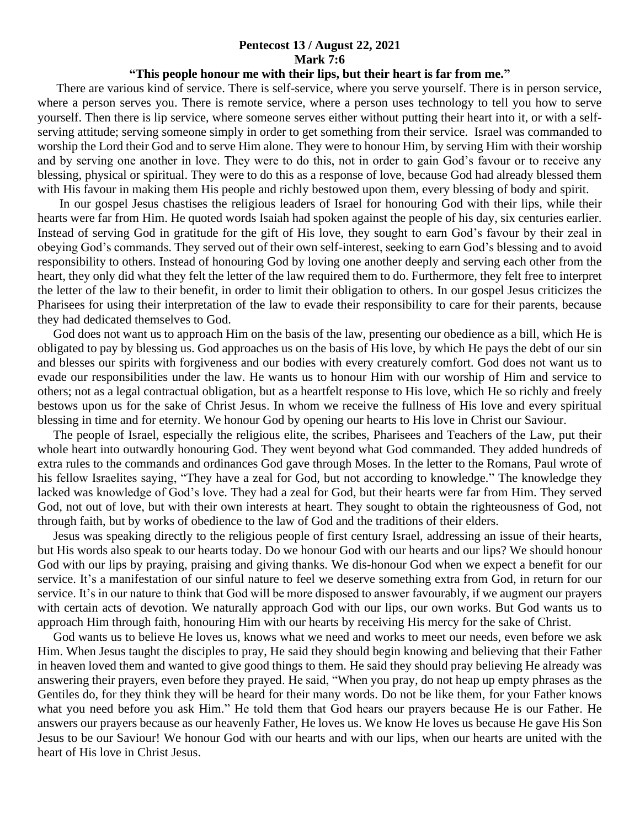## **Pentecost 13 / August 22, 2021 Mark 7:6**

## **"This people honour me with their lips, but their heart is far from me."**

 There are various kind of service. There is self-service, where you serve yourself. There is in person service, where a person serves you. There is remote service, where a person uses technology to tell you how to serve yourself. Then there is lip service, where someone serves either without putting their heart into it, or with a selfserving attitude; serving someone simply in order to get something from their service. Israel was commanded to worship the Lord their God and to serve Him alone. They were to honour Him, by serving Him with their worship and by serving one another in love. They were to do this, not in order to gain God's favour or to receive any blessing, physical or spiritual. They were to do this as a response of love, because God had already blessed them with His favour in making them His people and richly bestowed upon them, every blessing of body and spirit.

 In our gospel Jesus chastises the religious leaders of Israel for honouring God with their lips, while their hearts were far from Him. He quoted words Isaiah had spoken against the people of his day, six centuries earlier. Instead of serving God in gratitude for the gift of His love, they sought to earn God's favour by their zeal in obeying God's commands. They served out of their own self-interest, seeking to earn God's blessing and to avoid responsibility to others. Instead of honouring God by loving one another deeply and serving each other from the heart, they only did what they felt the letter of the law required them to do. Furthermore, they felt free to interpret the letter of the law to their benefit, in order to limit their obligation to others. In our gospel Jesus criticizes the Pharisees for using their interpretation of the law to evade their responsibility to care for their parents, because they had dedicated themselves to God.

 God does not want us to approach Him on the basis of the law, presenting our obedience as a bill, which He is obligated to pay by blessing us. God approaches us on the basis of His love, by which He pays the debt of our sin and blesses our spirits with forgiveness and our bodies with every creaturely comfort. God does not want us to evade our responsibilities under the law. He wants us to honour Him with our worship of Him and service to others; not as a legal contractual obligation, but as a heartfelt response to His love, which He so richly and freely bestows upon us for the sake of Christ Jesus. In whom we receive the fullness of His love and every spiritual blessing in time and for eternity. We honour God by opening our hearts to His love in Christ our Saviour.

 The people of Israel, especially the religious elite, the scribes, Pharisees and Teachers of the Law, put their whole heart into outwardly honouring God. They went beyond what God commanded. They added hundreds of extra rules to the commands and ordinances God gave through Moses. In the letter to the Romans, Paul wrote of his fellow Israelites saying, "They have a zeal for God, but not according to knowledge." The knowledge they lacked was knowledge of God's love. They had a zeal for God, but their hearts were far from Him. They served God, not out of love, but with their own interests at heart. They sought to obtain the righteousness of God, not through faith, but by works of obedience to the law of God and the traditions of their elders.

 Jesus was speaking directly to the religious people of first century Israel, addressing an issue of their hearts, but His words also speak to our hearts today. Do we honour God with our hearts and our lips? We should honour God with our lips by praying, praising and giving thanks. We dis-honour God when we expect a benefit for our service. It's a manifestation of our sinful nature to feel we deserve something extra from God, in return for our service. It's in our nature to think that God will be more disposed to answer favourably, if we augment our prayers with certain acts of devotion. We naturally approach God with our lips, our own works. But God wants us to approach Him through faith, honouring Him with our hearts by receiving His mercy for the sake of Christ.

 God wants us to believe He loves us, knows what we need and works to meet our needs, even before we ask Him. When Jesus taught the disciples to pray, He said they should begin knowing and believing that their Father in heaven loved them and wanted to give good things to them. He said they should pray believing He already was answering their prayers, even before they prayed. He said, "When you pray, do not heap up empty phrases as the Gentiles do, for they think they will be heard for their many words. Do not be like them, for your Father knows what you need before you ask Him." He told them that God hears our prayers because He is our Father. He answers our prayers because as our heavenly Father, He loves us. We know He loves us because He gave His Son Jesus to be our Saviour! We honour God with our hearts and with our lips, when our hearts are united with the heart of His love in Christ Jesus.